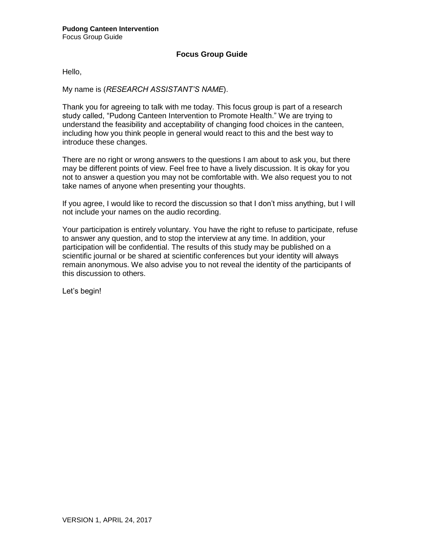## **Focus Group Guide**

Hello,

My name is (*RESEARCH ASSISTANT'S NAME*).

Thank you for agreeing to talk with me today. This focus group is part of a research study called, "Pudong Canteen Intervention to Promote Health." We are trying to understand the feasibility and acceptability of changing food choices in the canteen, including how you think people in general would react to this and the best way to introduce these changes.

There are no right or wrong answers to the questions I am about to ask you, but there may be different points of view. Feel free to have a lively discussion. It is okay for you not to answer a question you may not be comfortable with. We also request you to not take names of anyone when presenting your thoughts.

If you agree, I would like to record the discussion so that I don't miss anything, but I will not include your names on the audio recording.

Your participation is entirely voluntary. You have the right to refuse to participate, refuse to answer any question, and to stop the interview at any time. In addition, your participation will be confidential. The results of this study may be published on a scientific journal or be shared at scientific conferences but your identity will always remain anonymous. We also advise you to not reveal the identity of the participants of this discussion to others.

Let's begin!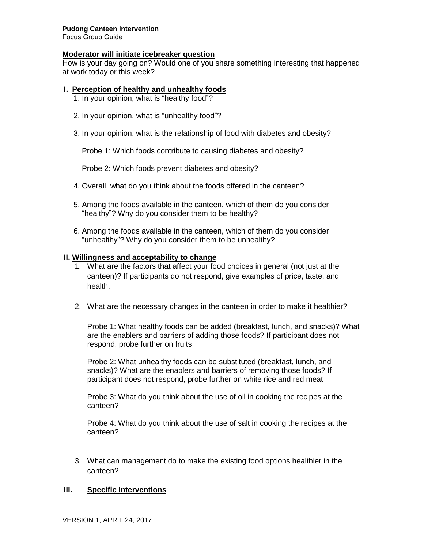#### **Pudong Canteen Intervention**

Focus Group Guide

#### **Moderator will initiate icebreaker question**

How is your day going on? Would one of you share something interesting that happened at work today or this week?

#### **I. Perception of healthy and unhealthy foods**

1. In your opinion, what is "healthy food"?

- 2. In your opinion, what is "unhealthy food"?
- 3. In your opinion, what is the relationship of food with diabetes and obesity?

Probe 1: Which foods contribute to causing diabetes and obesity?

Probe 2: Which foods prevent diabetes and obesity?

- 4. Overall, what do you think about the foods offered in the canteen?
- 5. Among the foods available in the canteen, which of them do you consider "healthy"? Why do you consider them to be healthy?
- 6. Among the foods available in the canteen, which of them do you consider "unhealthy"? Why do you consider them to be unhealthy?

#### **II. Willingness and acceptability to change**

- 1. What are the factors that affect your food choices in general (not just at the canteen)? If participants do not respond, give examples of price, taste, and health.
- 2. What are the necessary changes in the canteen in order to make it healthier?

Probe 1: What healthy foods can be added (breakfast, lunch, and snacks)? What are the enablers and barriers of adding those foods? If participant does not respond, probe further on fruits

Probe 2: What unhealthy foods can be substituted (breakfast, lunch, and snacks)? What are the enablers and barriers of removing those foods? If participant does not respond, probe further on white rice and red meat

Probe 3: What do you think about the use of oil in cooking the recipes at the canteen?

Probe 4: What do you think about the use of salt in cooking the recipes at the canteen?

3. What can management do to make the existing food options healthier in the canteen?

## **III. Specific Interventions**